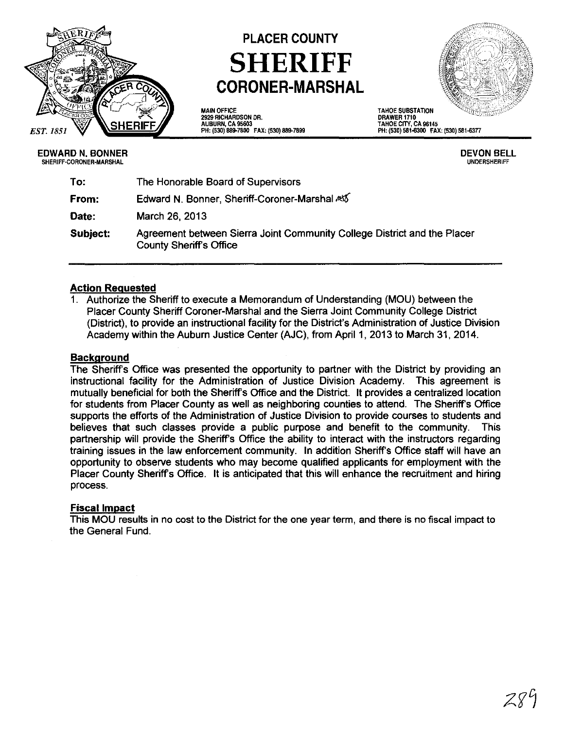

EDWARD N. BONNER SHERIFF·CORONER·MARSHAL

# PLACER COUNTY **SHERIFF** CORONER-MARSHAL

MAIN OFFICE 2929 RICHARDSON DR. AUBURN, CA 95603 PH: (530) 889-7800 FAX: (530) 889-7899 TAHOE SUBSTATION DRAWER 1710 TAHOE CITY, CA 96145 PH: (530) 581.0300 FAX: (530) 581.0377

> DEVON BELL UNDERSHERIFF

| To:      | The Honorable Board of Supervisors                                                                         |
|----------|------------------------------------------------------------------------------------------------------------|
| From:    | Edward N. Bonner, Sheriff-Coroner-Marshal AS                                                               |
| Date:    | March 26, 2013                                                                                             |
| Subject: | Agreement between Sierra Joint Community College District and the Placer<br><b>County Sheriff's Office</b> |

## Action Requested

1. Authorize the Sheriff to execute a Memorandum of Understanding (MOU) between the Placer County Sheriff Coroner-Marshal and the Sierra Joint Community College District (District), to provide an instructional facility for the District's Administration of Justice Division Academy within the Auburn Justice Center (AJC), from April 1, 2013 to March 31, 2014.

## **Background**

The Sheriff's Office was presented the opportunity to partner with the District by providing an instructional facility for the Administration of Justice Division Academy. This agreement is mutually beneficial for both the Sheriff's Office and the District. It provides a centralized location for students from Placer County as well as neighboring counties to attend. The Sheriff's Office supports the efforts of the Administration of Justice Division to provide courses to students and believes that such classes provide a public purpose and benefit to the community. This partnership will provide the Sheriff's Office the ability to interact with the instructors regarding training issues in the law enforcement community. In addition Sheriff's Office staff will have an opportunity to observe students who may become qualified applicants for employment with the Placer County Sheriff's Office. It is anticipated that this will enhance the recruitment and hiring process.

### Fiscal Impact

This MOU results in no cost to the District for the one year term, and there is no fiscal impact to the General Fund.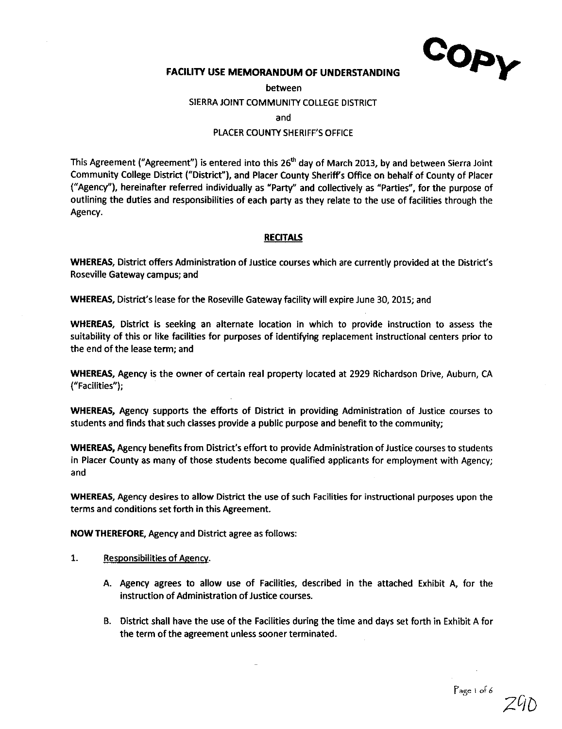COPY

#### **FACILITY USE MEMORANDUM OF UNDERSTANDING**

between

SIERRA JOINT COMMUNITY COLLEGE DISTRICT

and

#### PLACER COUNTY SHERIFF'S OFFICE

This Agreement ("Agreement") is entered into this 26<sup>th</sup> day of March 2013, by and between Sierra Joint Community College District ("District"), and Placer County Sheriffs Office on behalf of County of Placer ("Agency"), hereinafter referred individually as "Party" and collectively as "Parties", for the purpose of outlining the duties and responsibilities of each party as they relate to the use of facilities through the Agency.

#### **RECITALS**

**WHEREAS,** District offers Administration of Justice courses which are currently provided at the District's Roseville Gateway campus; and

**WHEREAS,** District's lease for the Roseville Gateway facility will expire June 30, 2015; and

**WHEREAS,** District is seeking an alternate location in which to provide instruction to assess the suitability of this or like facilities for purposes of identifying replacement instructional centers prior to the end of the lease term; and

**WHEREAS,** Agency is the owner of certain real property located at 2929 Richardson Drive, Auburn, CA ("Facilities");

**WHEREAS,** Agency supports the efforts of District in providing Administration of Justice courses to students and finds that such classes provide a public purpose and benefit to the community;

**WHEREAS,** Agency benefits from District's effort to provide Administration of Justice courses to students in Placer County as many of those students become qualified applicants for employment with Agency; and

**WHEREAS,** Agency desires to allow District the use of such Facilities for instructional purposes upon the terms and conditions set forth in this Agreement.

**NOW THEREFORE,** Agency and District agree as follows:

- 1. Responsibilities of Agencv.
	- A. Agency agrees to allow use of Facilities, described in the attached Exhibit A, for the instruction of Administration of Justice courses.
	- B. District shall have the use of the Facilities during the time and days set forth in Exhibit A for the term of the agreement unless sooner terminated.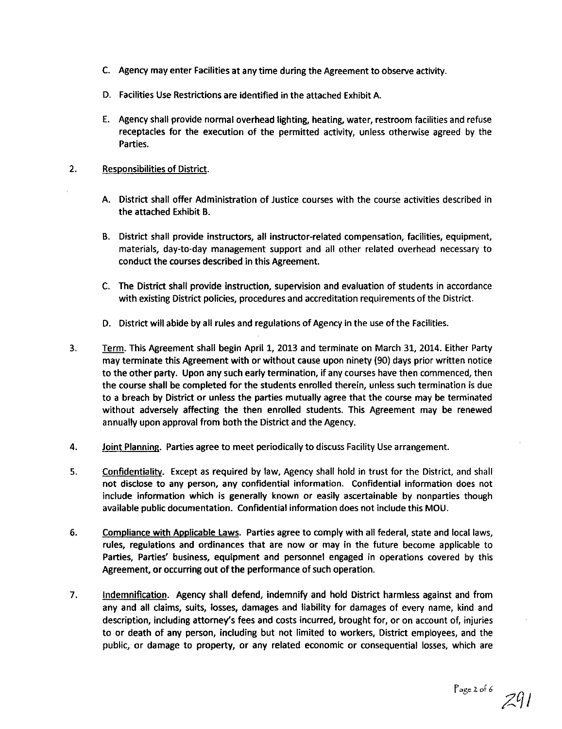- C. Agency may enter Facilities at any time during the Agreement to observe activity.
- D. Facilities Use Restrictions are identified in the attached Exhibit A.
- E. Agency shall provide normal overhead lighting, heating, water, restroom facilities and refuse receptacles for the execution of the permitted activity, unless otherwise agreed by the Parties.

### 2. Responsibilities of District.

- A. District shall offer Administration of Justice courses with the course activities described in the attached Exhibit B.
- B. District shall provide instructors, all instructor-related compensation, facilities, equipment, materials, day-to-day management support and all other related overhead necessary to conduct the courses described in this Agreement.
- C. The District shall provide instruction, supervision and evaluation of students in accordance with existing District policies, procedures and accreditation requirements of the District.
- D. District will abide by all rules and regulations of Agency in the use of the Facilities.
- 3. Term. This Agreement shall begin April 1, 2013 and terminate on March 31, 2014. Either Party may terminate this Agreement with or without cause upon ninety (90) days prior written notice to the other party. Upon any such early termination, if any courses have then commenced, then the course shall be completed for the students enrolled therein, unless such termination is due to a breach by District or unless the parties mutually agree that the course may be terminated without adversely affecting the then enrolled students. This Agreement may be renewed annually upon approval from both the District and the Agency.
- 4. Joint Planning. Parties agree to meet periodically to discuss Facility Use arrangement.
- 5. Confidentiality. Except as required by law, Agency shall hold in trust for the District, and shall not disclose to any person, any confidential information. Confidential information does not include information which is generally known or easily ascertainable by nonparties though available public documentation. Confidential information does not include this MOU.
- 6. Compliance with Applicable Laws. Parties agree to comply with all federal, state and local laws, rules, regulations and ordinances that are now or may in the future become applicable to Parties, Parties' business, equipment and personnel engaged in operations covered by this Agreement, or occurring out of the performance of such operation.
- 7. Indemnification. Agency shall defend, indemnify and hold District harmless against and from any and all claims, suits, losses, damages and liability for damages of every name, kind and description, including attorney's fees and costs incurred, brought for, or on account of, injuries to or death of any person, including but not limited to workers, District employees, and the public, or damage to property, or any related economic or consequential losses, which are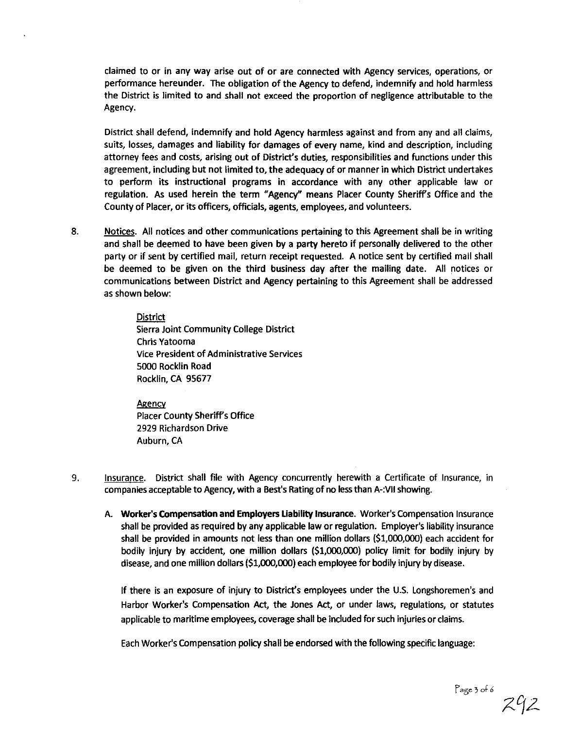claimed to or in any way arise out of or are connected with Agency services, operations, or performance hereunder. The obligation of the Agency to defend, indemnify and hold harmless the District is limited to and shall not exceed the proportion of negligence attributable to the Agency.

District shall defend, indemnify and hold Agency harmless against and from any and all claims, suits, losses, damages and liability for damages of every name, kind and description, including attorney fees and costs, arising out of District's duties, responsibilities and functions under this agreement, including but not limited to, the adequacy of or manner in which District undertakes to perform its instructional programs in accordance with any other applicable law or regulation. As used herein the term "Agency" means Placer County Sheriffs Office and the County of Placer, or its officers, officials, agents, employees, and volunteers.

8. Notices. All notices and other communications pertaining to this Agreement shall be in writing and shall be deemed to have been given by a party hereto if personally delivered to the other party or if sent by certified mail, return receipt requested. A notice sent by certified mail shall be deemed to be given on the third business day after the mailing date. All notices or communications between District and Agency pertaining to this Agreement shall be addressed as shown below:

> **District** Sierra Joint Community College District Chris Yatooma Vice President of Administrative Services 5000 Rocklin Road Rocklin, CA 95677

**Agency** Placer County Sheriff's Office 2929 Richardson Drive Auburn, CA

- 9. Insurance. District shall file with Agency concurrently herewith a Certificate of Insurance, in companies acceptable to Agency, with a Best's Rating of no less than A-:VII showing.
	- A. Worker's Compensation and Employers Liability Insurance. Worker's Compensation Insurance shall be provided as required by any applicable law or regulation. Employer's liability insurance shall be provided in amounts not less than one million dollars (\$1,000,000) each accident for bodily injury by accident, one million dollars (\$1,000,000) policy limit for bodily injury by disease, and one million dollars (\$1,000,000) each employee for bodily injury by disease.

If there is an exposure of injury to District's employees under the U.S. Longshoremen's and Harbor Worker's Compensation Act, the Jones Act, or under laws, regulations, or statutes applicable to maritime employees, coverage shall be included for such injuries or claims.

Each Worker's Compensation policy shall be endorsed with the following specific language: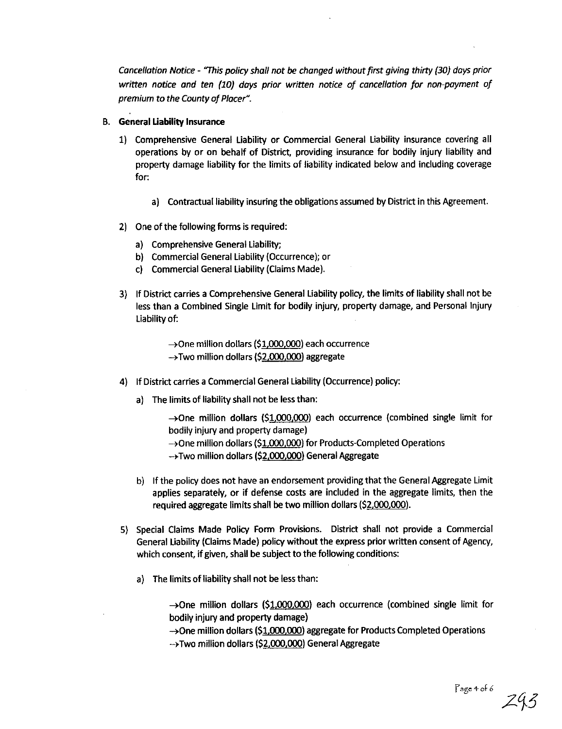*Cancellation Notice* - *'7his policy shall not be changed without first giving thirty (30) days prior written notice and ten (10) days prior written notice of cancellation for non-payment of premium* to the County of Placer".

#### B. **General Uability Insurance**

- 1) Comprehensive General Liability or Commercial General Liability insurance covering all operations by or on behalf of District, providing insurance for bodily injury liability and property damage liability for the limits of liability indicated below and including coverage for:
	- a) Contractual liability insuring the obligations assumed by District in this Agreement.
- 2) One of the following forms is required:
	- a) Comprehensive General Liability;
	- b) Commercial General Liability (Occurrence); or
	- c) Commercial General Liability (Claims Made).
- 3) If District carries a Comprehensive General Liability policy, the limits of liability shall not be less than a Combined Single Limit for bodily injury, property damage, and Personal Injury Liability of:

 $\rightarrow$ One million dollars (\$1,000,000) each occurrence  $\rightarrow$ Two million dollars (\$2,000,000) aggregate

- 4) If District carries a Commercial General Liability (Occurrence) policy:
	- a) The limits of liability shall not be less than:

 $\rightarrow$ One million dollars (\$1,000,000) each occurrence (combined single limit for bodily injury and property damage)

- $\rightarrow$ One million dollars (\$1,000,000) for Products-Completed Operations
- ->Two million dollars (\$2,000,000) General Aggregate
- b) If the policy does not have an endorsement providing that the General Aggregate Limit applies separately, or if defense costs are included in the aggregate limits, then the required aggregate limits shall be two million dollars (\$2,000,000).
- 5) Special Claims Made Policy Form Provisions. District shall not provide a Commercial General Liability (Claims Made) policy without the express prior written consent of Agency, which consent, if given, shall be subject to the following conditions:
	- a) The limits of liability shall not be less than:

 $\rightarrow$ One million dollars (\$1,000,000) each occurrence (combined single limit for bodily injury and property damage)

 $\rightarrow$ One million dollars (\$1,000,000) aggregate for Products Completed Operations  $\rightarrow$ Two million dollars (\$2,000,000) General Aggregate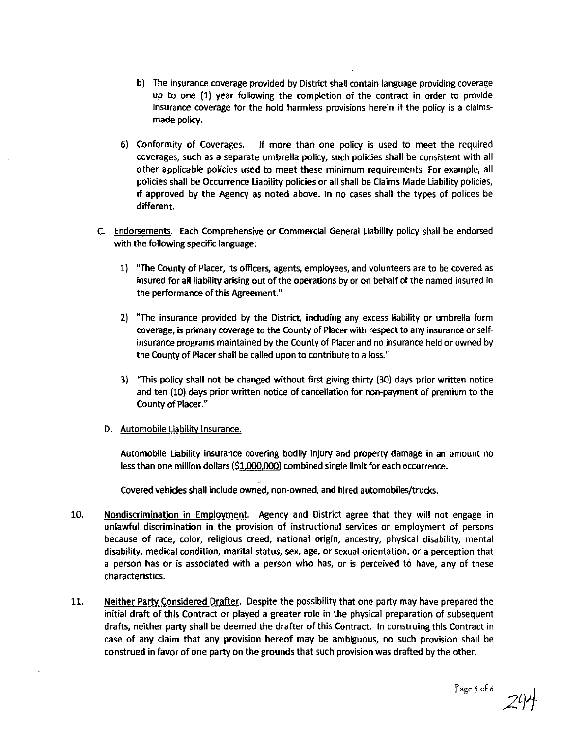- b) The insurance coverage provided by District shall contain language providing coverage up to one (1) year following the completion of the contract in order to provide insurance coverage for the hold harmless provisions herein if the policy is a claimsmade policy.
- 6) Conformity of Coverages. If more than one policy is used to meet the required coverages, such as a separate umbrella policy, such policies shall be consistent with all other applicable policies used to meet these minimum requirements. For example, all policies shall be Occurrence liability policies or all shall be Claims Made liability policies, if approved by the Agency as noted above. In no cases shall the types of polices be different.
- C. Endorsements. Each Comprehensive or Commercial General liability policy shall be endorsed with the following specific language:
	- 1) "The County of Placer, its officers, agents, employees, and volunteers are to be covered as insured for all liability arising out of the operations by or on behalf of the named insured in the performance of this Agreement."
	- 2) "The insurance provided by the District, including any excess liability or umbrella form coverage, is primary coverage to the County of Placer with respect to any insurance or selfinsurance programs maintained by the County of Placer and no insurance held or owned by the County of Placer shall be called upon to contribute to a loss."
	- 3) "This policy shall not be changed without first giving thirty (30) days prior written notice and ten (10) days prior written notice of cancellation for non-payment of premium to the County of Placer."

#### D. Automobile Liability Insurance.

Automobile liability insurance covering bodily injury and property damage in an amount no less than one million dollars (\$1,000,000) combined single limit for each occurrence.

Covered vehicles shall include owned, non-owned, and hired automobiles/trucks.

- 10. Nondiscrimination in Employment. Agency and District agree that they will not engage in unlawful discrimination in the provision of instructional services or employment of persons because of race, color, religious creed, national origin, ancestry, physical disability, mental disability, medical condition, marital status, sex, age, or sexual orientation, or a perception that a person has or is associated with a person who has, or is perceived to have, any of these characteristics.
- 11. Neither Party Considered Drafter. Despite the possibility that one party may have prepared the initial draft of this Contract or played a greater role in the physical preparation of subsequent drafts, neither party shall be deemed the drafter of this Contract. In construing this Contract in case of any claim that any provision hereof may be ambiguous, no such provision shall be construed in favor of one party on the grounds that such provision was drafted by the other.

Page 5 of 6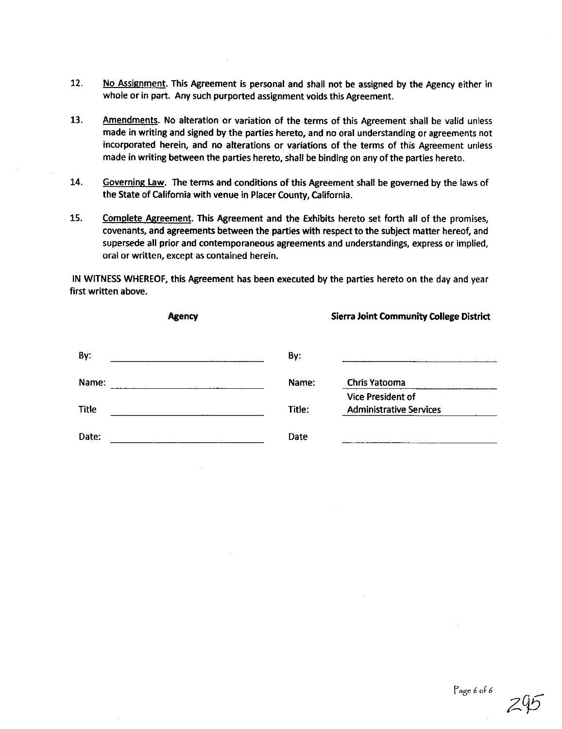- 12. No Assignment. This Agreement is personal and shall not be assigned by the Agency either in whole or in part. Any such purported assignment voids this Agreement.
- 13. Amendments. No alteration or variation of the terms of this Agreement shall be valid unless made in writing and signed by the parties hereto, and no oral understanding or agreements not incorporated herein, and no alterations or variations of the terms of this Agreement unless made in writing between the parties hereto, shall be binding on any of the parties hereto.
- 14. Governing Law. The terms and conditions of this Agreement shall be governed by the laws of the State of california with venue in Placer County, california.
- 15. Complete Agreement. This Agreement and the Exhibits hereto set forth all of the promises, covenants, and agreements between the parties with respect to the subject matter hereof, and supersede all prior and contemporaneous agreements and understandings, express or implied, oral or written, except as contained herein.

IN WITNESS WHEREOF, this Agreement has been executed by the parties hereto on the day and year first written above.

| <b>Agency</b> |        | <b>Sierra Joint Community College District</b>             |  |  |  |
|---------------|--------|------------------------------------------------------------|--|--|--|
| By:           | By:    |                                                            |  |  |  |
| Name:         | Name:  | Chris Yatooma                                              |  |  |  |
| Title         | Title: | <b>Vice President of</b><br><b>Administrative Services</b> |  |  |  |
| Date:         | Date   |                                                            |  |  |  |

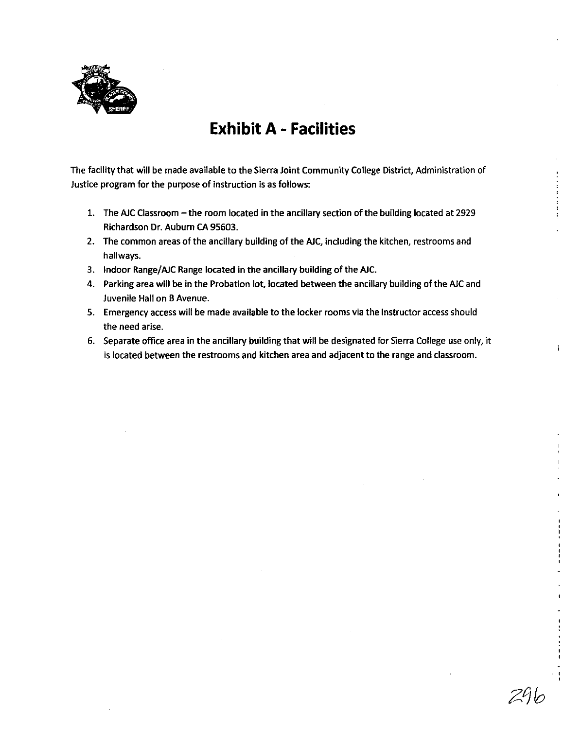

## **Exhibit A - Facilities**

The facility that will be made available to the Sierra Joint Community College District, Administration of Justice program for the purpose of instruction is as follows:

- 1. The AlC Classroom the room located in the ancillary section of the building located at 2929 Richardson Dr. Auburn CA 95603.
- 2. The common areas of the ancillary building of the AlC, including the kitchen, restrooms and hallways.
- 3. Indoor Range/AlC Range located in the ancillary building of the Ale.
- 4. Parking area will be in the Probation lot, located between the ancillary building of the AlC and Juvenile Hall on B Avenue.
- 5. Emergency access will be made available to the locker rooms via the Instructor access should the need arise.
- 6. Separate office area in the ancillary building that will be designated for Sierra College use only, it is located between the restrooms and kitchen area and adjacent to the range and classroom.

 $\ddot{i}$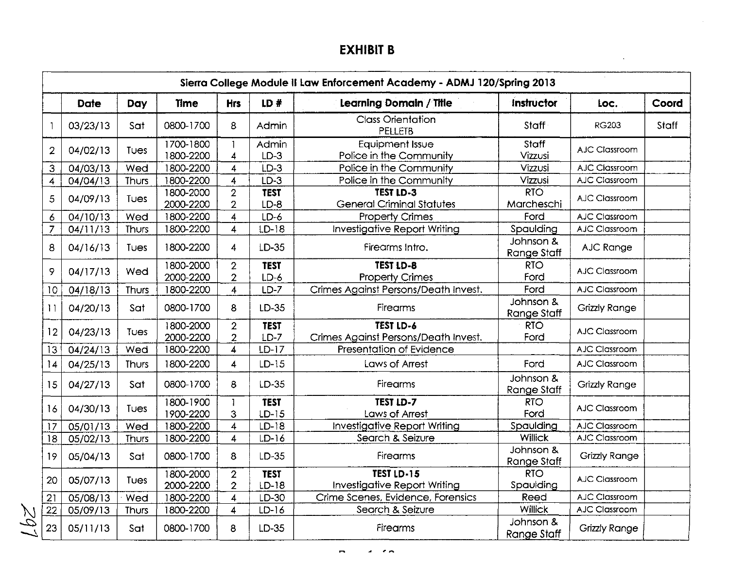## **EXHIBIT B**

 $\bar{\lambda}$ 

|                         | Sierra College Module II Law Enforcement Academy - ADMJ 120/Spring 2013 |       |                        |                                         |                        |                                                          |                                 |                      |       |  |
|-------------------------|-------------------------------------------------------------------------|-------|------------------------|-----------------------------------------|------------------------|----------------------------------------------------------|---------------------------------|----------------------|-------|--|
|                         | <b>Date</b>                                                             | Day   | Time                   | <b>Hrs</b>                              | LD#                    | Learning Domain / Title                                  | <b>Instructor</b>               | Loc.                 | Coord |  |
| ı                       | 03/23/13                                                                | Sat   | 0800-1700              | 8                                       | <b>Admin</b>           | <b>Class Orientation</b><br><b>PELLETB</b>               | Staff                           | <b>RG203</b>         | Staff |  |
| $\overline{2}$          | 04/02/13                                                                | Tues  | 1700-1800<br>1800-2200 | $\mathbf{1}$<br>$\overline{\mathbf{4}}$ | Admin<br>$LD-3$        | Equipment Issue<br>Police in the Community               | Staff<br>Vizzusi                | AJC Classroom        |       |  |
| 3                       | 04/03/13                                                                | Wed   | 1800-2200              | $\overline{\mathbf{4}}$                 | LD-3                   | Police in the Community                                  | Vizzusi                         | AJC Classroom        |       |  |
| $\overline{\mathbf{A}}$ | 04/04/13                                                                | Thurs | 1800-2200              | $\overline{\mathbf{4}}$                 | $LD-3$                 | Police in the Community                                  | Vizzusi                         | AJC Classroom        |       |  |
| 5                       | 04/09/13                                                                | Tues  | 1800-2000<br>2000-2200 | $\overline{2}$<br>$\overline{2}$        | <b>TEST</b><br>LD-8    | <b>TEST LD-3</b><br><b>General Criminal Statutes</b>     | <b>RTO</b><br>Marcheschi        | AJC Classroom        |       |  |
| 6                       | 04/10/13                                                                | Wed   | 1800-2200              | $\overline{\mathbf{4}}$                 | $LD-6$                 | <b>Property Crimes</b>                                   | Ford                            | AJC Classroom        |       |  |
| $\overline{7}$          | 04/11/13                                                                | Thurs | 1800-2200              | $\overline{\mathbf{4}}$                 | LD-18                  | Investigative Report Writing                             | Spaulding                       | AJC Classroom        |       |  |
| 8                       | 04/16/13                                                                | Tues  | 1800-2200              | $\overline{\mathbf{4}}$                 | LD-35                  | Firearms Intro.                                          | Johnson &<br>Range Staff        | AJC Range            |       |  |
| 9                       | 04/17/13                                                                | Wed   | 1800-2000<br>2000-2200 | $\overline{2}$<br>$\overline{2}$        | <b>TEST</b><br>$LD-6$  | TEST LD-8<br><b>Property Crimes</b>                      | <b>RTO</b><br>Ford              | AJC Classroom        |       |  |
| 10                      | 04/18/13                                                                | Thurs | 1800-2200              | $\overline{4}$                          | $LD-7$                 | Crimes Against Persons/Death Invest.                     | Ford                            | AJC Classroom        |       |  |
| 11                      | 04/20/13                                                                | Sat   | 0800-1700              | 8                                       | $LD-35$                | Firearms                                                 | Johnson &<br><b>Range Staff</b> | Grizzly Range        |       |  |
| 12                      | 04/23/13                                                                | Tues  | 1800-2000<br>2000-2200 | $\overline{2}$<br>$\overline{2}$        | <b>TEST</b><br>$LD-7$  | <b>TEST LD-6</b><br>Crimes Against Persons/Death Invest. | <b>RTO</b><br>Ford              | <b>AJC Classroom</b> |       |  |
| 13                      | 04/24/13                                                                | Wed   | 1800-2200              | 4                                       | $LD-17$                | Presentation of Evidence                                 |                                 | AJC Classroom        |       |  |
| 14                      | 04/25/13                                                                | Thurs | 1800-2200              | $\overline{4}$                          | $LD-15$                | Laws of Arrest                                           | Ford                            | AJC Classroom        |       |  |
| 15                      | 04/27/13                                                                | Sat   | 0800-1700              | 8                                       | LD-35                  | Firearms                                                 | Johnson &<br><b>Range Staff</b> | <b>Grizzly Range</b> |       |  |
| 16                      | 04/30/13                                                                | Tues  | 1800-1900<br>1900-2200 | $\mathbf{1}$<br>3                       | <b>TEST</b><br>$LD-15$ | TEST LD-7<br>Laws of Arrest                              | <b>RTO</b><br>Ford              | AJC Classroom        |       |  |
| 17                      | 05/01/13                                                                | Wed   | 1800-2200              | $\overline{\mathbf{4}}$                 | $LD-18$                | <b>Investigative Report Writing</b>                      | Spaulding                       | AJC Classroom        |       |  |
| 18                      | 05/02/13                                                                | Thurs | 1800-2200              | $\overline{\mathbf{4}}$                 | $LD-16$                | Search & Seizure                                         | <b>Willick</b>                  | AJC Classroom        |       |  |
| 19                      | 05/04/13                                                                | Sat   | 0800-1700              | 8                                       | LD-35                  | Firearms                                                 | Johnson &<br><b>Range Staff</b> | Grizzly Range        |       |  |
| 20                      | 05/07/13                                                                | Tues  | 1800-2000<br>2000-2200 | $\boldsymbol{2}$<br>$\overline{2}$      | <b>TEST</b><br>LD-18   | TEST LD-15<br>Investigative Report Writing               | <b>RTO</b><br>Spaulding         | AJC Classroom        |       |  |
| $\overline{21}$         | 05/08/13                                                                | Wed   | 1800-2200              | $\overline{\mathbf{4}}$                 | LD-30                  | Crime Scenes, Evidence, Forensics                        | Reed                            | AJC Classroom        |       |  |
| 22                      | 05/09/13                                                                | Thurs | 1800-2200              | 4                                       | $LD-16$                | Search & Seizure                                         | Willick                         | AJC Classroom        |       |  |
| 23                      | 05/11/13                                                                | Sat   | 0800-1700              | 8                                       | LD-35                  | Firearms                                                 | Johnson &<br><b>Range Staff</b> | <b>Grizzly Range</b> |       |  |

 $\blacksquare$  $\cdot$   $\sim$